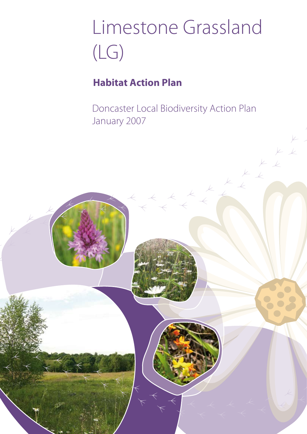# Limestone Grassland (LG)

## **Habitat Action Plan**

Doncaster Local Biodiversity Action Plan January 2007

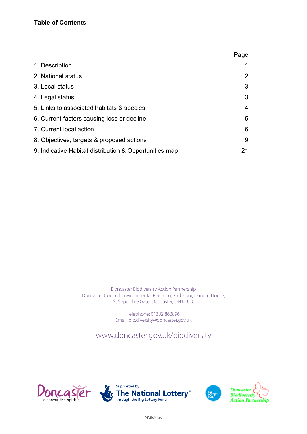|                                                        | Page           |
|--------------------------------------------------------|----------------|
| 1. Description                                         |                |
| 2. National status                                     | $\overline{2}$ |
| 3. Local status                                        | 3              |
| 4. Legal status                                        | 3              |
| 5. Links to associated habitats & species              | 4              |
| 6. Current factors causing loss or decline             | 5              |
| 7. Current local action                                | 6              |
| 8. Objectives, targets & proposed actions              | 9              |
| 9. Indicative Habitat distribution & Opportunities map | 21             |

Doncaster Biodiversity Action Partnership Doncaster Council, Environmental Planning, 2nd Floor, Danum House, St Sepulchre Gate, Doncaster, DN1 1UB.

> Telephone: 01302 862896 Email: bio.diversity@doncaster.gov.uk

For further information please visit www.doncaster.gov.uk or contact; www.doncaster.gov.uk/biodiversity







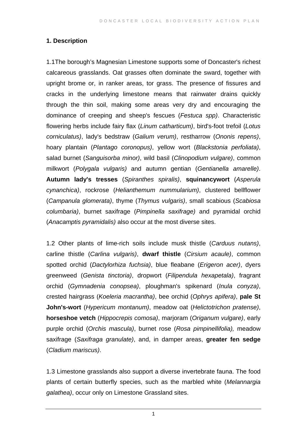#### **1. Description**

1.1The borough's Magnesian Limestone supports some of Doncaster's richest calcareous grasslands. Oat grasses often dominate the sward, together with upright brome or, in ranker areas, tor grass. The presence of fissures and cracks in the underlying limestone means that rainwater drains quickly through the thin soil, making some areas very dry and encouraging the dominance of creeping and sheep's fescues (*Festuca spp)*. Characteristic flowering herbs include fairy flax (*Linum catharticum)*, bird's-foot trefoil (*Lotus corniculatus)*, lady's bedstraw (*Galium verum)*, restharrow (*Ononis repens)*, hoary plantain (*Plantago coronopus)*, yellow wort (*Blackstonia perfoliata)*, salad burnet (*Sanguisorba minor)*, wild basil (*Clinopodium vulgare)*, common milkwort (*Polygala vulgaris)* and autumn gentian (*Gentianella amarelle)*. **Autumn lady's tresses** (*Spiranthes spiralis)*, **squinancywort** (*Asperula cynanchica)*, rockrose (*Helianthemum nummularium)*, clustered bellflower (*Campanula glomerata)*, thyme (*Thymus vulgaris)*, small scabious (*Scabiosa columbaria)*, burnet saxifrage (*Pimpinella saxifrage)* and pyramidal orchid (*Anacamptis pyramidalis)* also occur at the most diverse sites.

1.2 Other plants of lime-rich soils include musk thistle (*Carduus nutans)*, carline thistle (*Carlina vulgaris)*, **dwarf thistle** (*Cirsium acaule)*, common spotted orchid (*Dactylorhiza fuchsia)*, blue fleabane (*Erigeron acer)*, dyers greenweed (*Genista tinctoria)*, dropwort (*Filipendula hexapetala)*, fragrant orchid (*Gymnadenia conopsea)*, ploughman's spikenard (*Inula conyza)*, crested hairgrass (*Koeleria macrantha)*, bee orchid (*Ophrys apifera)*, **pale St John's-wort** (*Hypericum montanum)*, meadow oat (*Helictotrichon pratense)*, **horseshoe vetch** (*Hippocrepis comosa)*, marjoram (*Origanum vulgare)*, early purple orchid (*Orchis mascula)*, burnet rose (*Rosa pimpinellifolia),* meadow saxifrage (*Saxifraga granulate)*, and, in damper areas, **greater fen sedge** (*Cladium mariscus)*.

1.3 Limestone grasslands also support a diverse invertebrate fauna. The food plants of certain butterfly species, such as the marbled white (*Melannargia galathea)*, occur only on Limestone Grassland sites.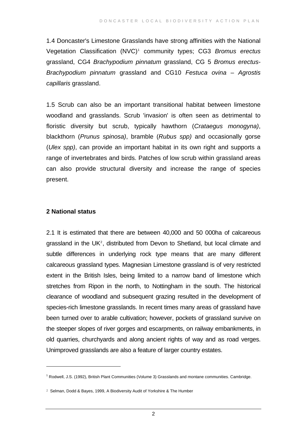1.4 Doncaster's Limestone Grasslands have strong affinities with the National Vegetation Classification (NVC)[1](#page-3-0) community types; CG3 *Bromus erectus*  grassland, CG4 *Brachypodium pinnatum* grassland, CG 5 *Bromus erectus-Brachypodium pinnatum* grassland and CG10 *Festuca ovina – Agrostis capillaris* grassland.

1.5 Scrub can also be an important transitional habitat between limestone woodland and grasslands. Scrub 'invasion' is often seen as detrimental to floristic diversity but scrub, typically hawthorn (*Crataegus monogyna)*, blackthorn (*Prunus spinosa)*, bramble (*Rubus spp)* and occasionally gorse (*Ulex spp)*, can provide an important habitat in its own right and supports a range of invertebrates and birds. Patches of low scrub within grassland areas can also provide structural diversity and increase the range of species present.

#### **2 National status**

 $\overline{a}$ 

2.1 It is estimated that there are between 40,000 and 50 000ha of calcareous grassland in the UK<sup>[2](#page-3-1)</sup>, distributed from Devon to Shetland, but local climate and subtle differences in underlying rock type means that are many different calcareous grassland types. Magnesian Limestone grassland is of very restricted extent in the British Isles, being limited to a narrow band of limestone which stretches from Ripon in the north, to Nottingham in the south. The historical clearance of woodland and subsequent grazing resulted in the development of species-rich limestone grasslands. In recent times many areas of grassland have been turned over to arable cultivation; however, pockets of grassland survive on the steeper slopes of river gorges and escarpments, on railway embankments, in old quarries, churchyards and along ancient rights of way and as road verges. Unimproved grasslands are also a feature of larger country estates.

<span id="page-3-0"></span><sup>&</sup>lt;sup>1</sup> Rodwell, J.S. (1992), British Plant Communities (Volume 3) Grasslands and montane communities. Cambridge.

<span id="page-3-1"></span><sup>2</sup> Selman, Dodd & Bayes, 1999, A Biodiversity Audit of Yorkshire & The Humber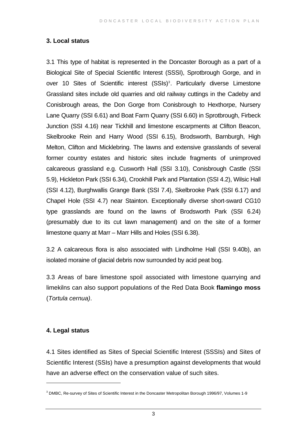#### **3. Local status**

3.1 This type of habitat is represented in the Doncaster Borough as a part of a Biological Site of Special Scientific Interest (SSSI), Sprotbrough Gorge, and in over 10 Sites of Scientific interest (SSIs)<sup>[3](#page-4-0)</sup>. Particularly diverse Limestone Grassland sites include old quarries and old railway cuttings in the Cadeby and Conisbrough areas, the Don Gorge from Conisbrough to Hexthorpe, Nursery Lane Quarry (SSI 6.61) and Boat Farm Quarry (SSI 6.60) in Sprotbrough, Firbeck Junction (SSI 4.16) near Tickhill and limestone escarpments at Clifton Beacon, Skelbrooke Rein and Harry Wood (SSI 6.15), Brodsworth, Barnburgh, High Melton, Clifton and Micklebring. The lawns and extensive grasslands of several former country estates and historic sites include fragments of unimproved calcareous grassland e.g. Cusworth Hall (SSI 3.10), Conisbrough Castle (SSI 5.9), Hickleton Park (SSI 6.34), Crookhill Park and Plantation (SSI 4.2), Wilsic Hall (SSI 4.12), Burghwallis Grange Bank (SSI 7.4), Skelbrooke Park (SSI 6.17) and Chapel Hole (SSI 4.7) near Stainton. Exceptionally diverse short-sward CG10 type grasslands are found on the lawns of Brodsworth Park (SSI 6.24) (presumably due to its cut lawn management) and on the site of a former limestone quarry at Marr – Marr Hills and Holes (SSI 6.38).

3.2 A calcareous flora is also associated with Lindholme Hall (SSI 9.40b), an isolated moraine of glacial debris now surrounded by acid peat bog.

3.3 Areas of bare limestone spoil associated with limestone quarrying and limekilns can also support populations of the Red Data Book **flamingo moss** (*Tortula cernua)*.

#### **4. Legal status**

 $\overline{a}$ 

4.1 Sites identified as Sites of Special Scientific Interest (SSSIs) and Sites of Scientific Interest (SSIs) have a presumption against developments that would have an adverse effect on the conservation value of such sites.

<span id="page-4-0"></span><sup>&</sup>lt;sup>3</sup> DMBC, Re-survey of Sites of Scientific Interest in the Doncaster Metropolitan Borough 1996/97, Volumes 1-9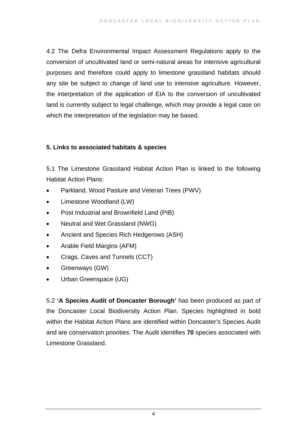4.2 The Defra Environmental Impact Assessment Regulations apply to the conversion of uncultivated land or semi-natural areas for intensive agricultural purposes and therefore could apply to limestone grassland habitats should any site be subject to change of land use to intensive agriculture. However, the interpretation of the application of EIA to the conversion of uncultivated land is currently subject to legal challenge, which may provide a legal case on which the interpretation of the legislation may be based.

#### **5. Links to associated habitats & species**

5.1 The Limestone Grassland Habitat Action Plan is linked to the following Habitat Action Plans:

- Parkland, Wood Pasture and Veteran Trees (PWV)
- Limestone Woodland (LW)
- Post Industrial and Brownfield Land (PIB)
- Neutral and Wet Grassland (NWG)
- Ancient and Species Rich Hedgerows (ASH)
- Arable Field Margins (AFM)
- Crags, Caves and Tunnels (CCT)
- Greenways (GW)
- Urban Greenspace (UG)

5.2 **'A Species Audit of Doncaster Borough'** has been produced as part of the Doncaster Local Biodiversity Action Plan. Species highlighted in bold within the Habitat Action Plans are identified within Doncaster's Species Audit and are conservation priorities. The Audit identifies **70** species associated with Limestone Grassland.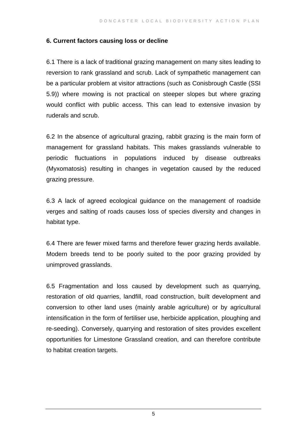#### **6. Current factors causing loss or decline**

6.1 There is a lack of traditional grazing management on many sites leading to reversion to rank grassland and scrub. Lack of sympathetic management can be a particular problem at visitor attractions (such as Conisbrough Castle (SSI 5.9)) where mowing is not practical on steeper slopes but where grazing would conflict with public access. This can lead to extensive invasion by ruderals and scrub.

6.2 In the absence of agricultural grazing, rabbit grazing is the main form of management for grassland habitats. This makes grasslands vulnerable to periodic fluctuations in populations induced by disease outbreaks (Myxomatosis) resulting in changes in vegetation caused by the reduced grazing pressure.

6.3 A lack of agreed ecological guidance on the management of roadside verges and salting of roads causes loss of species diversity and changes in habitat type.

6.4 There are fewer mixed farms and therefore fewer grazing herds available. Modern breeds tend to be poorly suited to the poor grazing provided by unimproved grasslands.

6.5 Fragmentation and loss caused by development such as quarrying, restoration of old quarries, landfill, road construction, built development and conversion to other land uses (mainly arable agriculture) or by agricultural intensification in the form of fertiliser use, herbicide application, ploughing and re-seeding). Conversely, quarrying and restoration of sites provides excellent opportunities for Limestone Grassland creation, and can therefore contribute to habitat creation targets.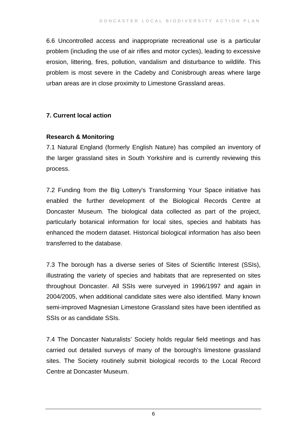6.6 Uncontrolled access and inappropriate recreational use is a particular problem (including the use of air rifles and motor cycles), leading to excessive erosion, littering, fires, pollution, vandalism and disturbance to wildlife. This problem is most severe in the Cadeby and Conisbrough areas where large urban areas are in close proximity to Limestone Grassland areas.

#### **7. Current local action**

#### **Research & Monitoring**

7.1 Natural England (formerly English Nature) has compiled an inventory of the larger grassland sites in South Yorkshire and is currently reviewing this process.

7.2 Funding from the Big Lottery's Transforming Your Space initiative has enabled the further development of the Biological Records Centre at Doncaster Museum. The biological data collected as part of the project, particularly botanical information for local sites, species and habitats has enhanced the modern dataset. Historical biological information has also been transferred to the database.

7.3 The borough has a diverse series of Sites of Scientific Interest (SSIs), illustrating the variety of species and habitats that are represented on sites throughout Doncaster. All SSIs were surveyed in 1996/1997 and again in 2004/2005, when additional candidate sites were also identified. Many known semi-improved Magnesian Limestone Grassland sites have been identified as SSIs or as candidate SSIs.

7.4 The Doncaster Naturalists' Society holds regular field meetings and has carried out detailed surveys of many of the borough's limestone grassland sites. The Society routinely submit biological records to the Local Record Centre at Doncaster Museum.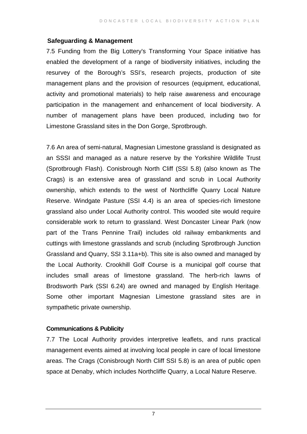#### **Safeguarding & Management**

7.5 Funding from the Big Lottery's Transforming Your Space initiative has enabled the development of a range of biodiversity initiatives, including the resurvey of the Borough's SSI's, research projects, production of site management plans and the provision of resources (equipment, educational, activity and promotional materials) to help raise awareness and encourage participation in the management and enhancement of local biodiversity. A number of management plans have been produced, including two for Limestone Grassland sites in the Don Gorge, Sprotbrough.

7.6 An area of semi-natural, Magnesian Limestone grassland is designated as an SSSI and managed as a nature reserve by the Yorkshire Wildlife Trust (Sprotbrough Flash). Conisbrough North Cliff (SSI 5.8) (also known as The Crags) is an extensive area of grassland and scrub in Local Authority ownership, which extends to the west of Northcliffe Quarry Local Nature Reserve. Windgate Pasture (SSI 4.4) is an area of species-rich limestone grassland also under Local Authority control. This wooded site would require considerable work to return to grassland. West Doncaster Linear Park (now part of the Trans Pennine Trail) includes old railway embankments and cuttings with limestone grasslands and scrub (including Sprotbrough Junction Grassland and Quarry, SSI 3.11a+b). This site is also owned and managed by the Local Authority. Crookhill Golf Course is a municipal golf course that includes small areas of limestone grassland. The herb-rich lawns of Brodsworth Park (SSI 6.24) are owned and managed by English Heritage. Some other important Magnesian Limestone grassland sites are in sympathetic private ownership.

#### **Communications & Publicity**

7.7 The Local Authority provides interpretive leaflets, and runs practical management events aimed at involving local people in care of local limestone areas. The Crags (Conisbrough North Cliff SSI 5.8) is an area of public open space at Denaby, which includes Northcliffe Quarry, a Local Nature Reserve.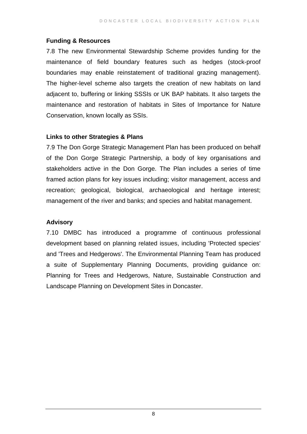#### **Funding & Resources**

7.8 The new Environmental Stewardship Scheme provides funding for the maintenance of field boundary features such as hedges (stock-proof boundaries may enable reinstatement of traditional grazing management). The higher-level scheme also targets the creation of new habitats on land adjacent to, buffering or linking SSSIs or UK BAP habitats. It also targets the maintenance and restoration of habitats in Sites of Importance for Nature Conservation, known locally as SSIs.

#### **Links to other Strategies & Plans**

7.9 The Don Gorge Strategic Management Plan has been produced on behalf of the Don Gorge Strategic Partnership, a body of key organisations and stakeholders active in the Don Gorge. The Plan includes a series of time framed action plans for key issues including; visitor management, access and recreation; geological, biological, archaeological and heritage interest; management of the river and banks; and species and habitat management.

#### **Advisory**

7.10 DMBC has introduced a programme of continuous professional development based on planning related issues, including 'Protected species' and 'Trees and Hedgerows'. The Environmental Planning Team has produced a suite of Supplementary Planning Documents, providing guidance on: Planning for Trees and Hedgerows, Nature, Sustainable Construction and Landscape Planning on Development Sites in Doncaster.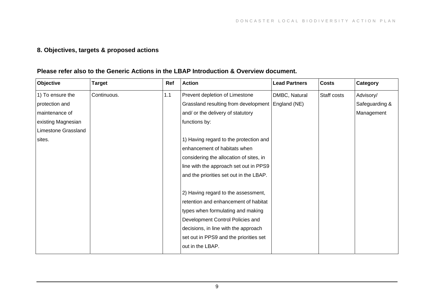### **8. Objectives, targets & proposed actions**

#### **Please refer also to the Generic Actions in the LBAP Introduction & Overview document.**

| Objective           | <b>Target</b> | Ref | <b>Action</b>                           | <b>Lead Partners</b> | <b>Costs</b> | Category       |
|---------------------|---------------|-----|-----------------------------------------|----------------------|--------------|----------------|
| 1) To ensure the    | Continuous.   | 1.1 | Prevent depletion of Limestone          | DMBC, Natural        | Staff costs  | Advisory/      |
| protection and      |               |     | Grassland resulting from development    | England (NE)         |              | Safeguarding & |
| maintenance of      |               |     | and/ or the delivery of statutory       |                      |              | Management     |
| existing Magnesian  |               |     | functions by:                           |                      |              |                |
| Limestone Grassland |               |     |                                         |                      |              |                |
| sites.              |               |     | 1) Having regard to the protection and  |                      |              |                |
|                     |               |     | enhancement of habitats when            |                      |              |                |
|                     |               |     | considering the allocation of sites, in |                      |              |                |
|                     |               |     | line with the approach set out in PPS9  |                      |              |                |
|                     |               |     | and the priorities set out in the LBAP. |                      |              |                |
|                     |               |     |                                         |                      |              |                |
|                     |               |     | 2) Having regard to the assessment,     |                      |              |                |
|                     |               |     | retention and enhancement of habitat    |                      |              |                |
|                     |               |     | types when formulating and making       |                      |              |                |
|                     |               |     | Development Control Policies and        |                      |              |                |
|                     |               |     | decisions, in line with the approach    |                      |              |                |
|                     |               |     | set out in PPS9 and the priorities set  |                      |              |                |
|                     |               |     | out in the LBAP.                        |                      |              |                |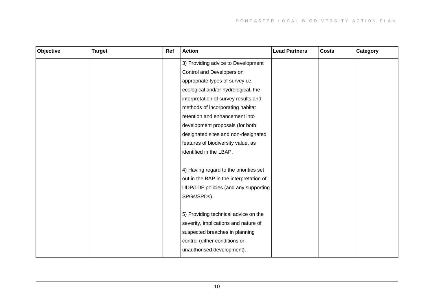| Objective | <b>Target</b> | Ref | <b>Action</b>                           | <b>Lead Partners</b> | <b>Costs</b> | Category |
|-----------|---------------|-----|-----------------------------------------|----------------------|--------------|----------|
|           |               |     | 3) Providing advice to Development      |                      |              |          |
|           |               |     | Control and Developers on               |                      |              |          |
|           |               |     | appropriate types of survey i.e.        |                      |              |          |
|           |               |     | ecological and/or hydrological, the     |                      |              |          |
|           |               |     | interpretation of survey results and    |                      |              |          |
|           |               |     | methods of incorporating habitat        |                      |              |          |
|           |               |     | retention and enhancement into          |                      |              |          |
|           |               |     | development proposals (for both         |                      |              |          |
|           |               |     | designated sites and non-designated     |                      |              |          |
|           |               |     | features of biodiversity value, as      |                      |              |          |
|           |               |     | identified in the LBAP.                 |                      |              |          |
|           |               |     |                                         |                      |              |          |
|           |               |     | 4) Having regard to the priorities set  |                      |              |          |
|           |               |     | out in the BAP in the interpretation of |                      |              |          |
|           |               |     | UDP/LDF policies (and any supporting    |                      |              |          |
|           |               |     | SPGs/SPDs).                             |                      |              |          |
|           |               |     |                                         |                      |              |          |
|           |               |     | 5) Providing technical advice on the    |                      |              |          |
|           |               |     | severity, implications and nature of    |                      |              |          |
|           |               |     | suspected breaches in planning          |                      |              |          |
|           |               |     | control (either conditions or           |                      |              |          |
|           |               |     | unauthorised development).              |                      |              |          |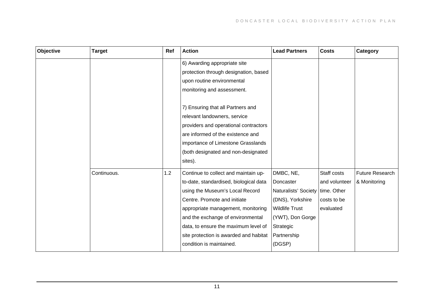| Objective | <b>Target</b> | Ref | <b>Action</b>                                                                                                                                                                                                                                                                                                                              | <b>Lead Partners</b>                                                                                                                                                | <b>Costs</b>                                             | Category                        |
|-----------|---------------|-----|--------------------------------------------------------------------------------------------------------------------------------------------------------------------------------------------------------------------------------------------------------------------------------------------------------------------------------------------|---------------------------------------------------------------------------------------------------------------------------------------------------------------------|----------------------------------------------------------|---------------------------------|
|           |               |     | 6) Awarding appropriate site<br>protection through designation, based<br>upon routine environmental<br>monitoring and assessment.                                                                                                                                                                                                          |                                                                                                                                                                     |                                                          |                                 |
|           |               |     | 7) Ensuring that all Partners and<br>relevant landowners, service<br>providers and operational contractors<br>are informed of the existence and<br>importance of Limestone Grasslands<br>(both designated and non-designated<br>sites).                                                                                                    |                                                                                                                                                                     |                                                          |                                 |
|           | Continuous.   | 1.2 | Continue to collect and maintain up-<br>to-date, standardised, biological data<br>using the Museum's Local Record<br>Centre. Promote and initiate<br>appropriate management, monitoring<br>and the exchange of environmental<br>data, to ensure the maximum level of<br>site protection is awarded and habitat<br>condition is maintained. | DMBC, NE,<br>Doncaster<br>Naturalists' Society   time. Other<br>(DNS), Yorkshire<br><b>Wildlife Trust</b><br>(YWT), Don Gorge<br>Strategic<br>Partnership<br>(DGSP) | Staff costs<br>and volunteer<br>costs to be<br>evaluated | Future Research<br>& Monitoring |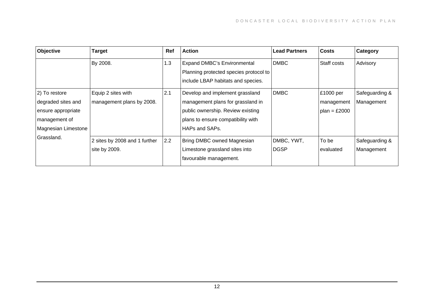| <b>Objective</b>                                                                                  | <b>Target</b>                                   | Ref | <b>Action</b>                                                                                                                                                     | <b>Lead Partners</b>      | Costs                                     | Category                     |
|---------------------------------------------------------------------------------------------------|-------------------------------------------------|-----|-------------------------------------------------------------------------------------------------------------------------------------------------------------------|---------------------------|-------------------------------------------|------------------------------|
|                                                                                                   | By 2008.                                        | 1.3 | <b>Expand DMBC's Environmental</b><br>Planning protected species protocol to<br>include LBAP habitats and species.                                                | <b>DMBC</b>               | Staff costs                               | Advisory                     |
| 2) To restore<br>degraded sites and<br>ensure appropriate<br>management of<br>Magnesian Limestone | Equip 2 sites with<br>management plans by 2008. | 2.1 | Develop and implement grassland<br>management plans for grassland in<br>public ownership. Review existing<br>plans to ensure compatibility with<br>HAPs and SAPs. | <b>DMBC</b>               | £1000 per<br>management<br>$plan = £2000$ | Safeguarding &<br>Management |
| Grassland.                                                                                        | 2 sites by 2008 and 1 further<br>site by 2009.  | 2.2 | Bring DMBC owned Magnesian<br>Limestone grassland sites into<br>favourable management.                                                                            | DMBC, YWT,<br><b>DGSP</b> | To be<br>evaluated                        | Safeguarding &<br>Management |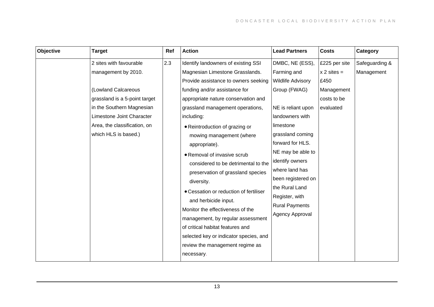| Objective | <b>Target</b>                                                                                                                                                                                                            | Ref | <b>Action</b>                                                                                                                                                                                                                                                                                                                                                                                                                                    | <b>Lead Partners</b>                                                                                                                                                                                                                                     | <b>Costs</b>                                                                     | Category                     |
|-----------|--------------------------------------------------------------------------------------------------------------------------------------------------------------------------------------------------------------------------|-----|--------------------------------------------------------------------------------------------------------------------------------------------------------------------------------------------------------------------------------------------------------------------------------------------------------------------------------------------------------------------------------------------------------------------------------------------------|----------------------------------------------------------------------------------------------------------------------------------------------------------------------------------------------------------------------------------------------------------|----------------------------------------------------------------------------------|------------------------------|
|           | 2 sites with favourable<br>management by 2010.<br>(Lowland Calcareous<br>grassland is a 5-point target<br>in the Southern Magnesian<br>Limestone Joint Character<br>Area, the classification, on<br>which HLS is based.) | 2.3 | Identify landowners of existing SSI<br>Magnesian Limestone Grasslands.<br>Provide assistance to owners seeking<br>funding and/or assistance for<br>appropriate nature conservation and<br>grassland management operations,<br>including:<br>• Reintroduction of grazing or<br>mowing management (where<br>appropriate).<br>• Removal of invasive scrub<br>considered to be detrimental to the<br>preservation of grassland species<br>diversity. | DMBC, NE (ESS),<br>Farming and<br><b>Wildlife Advisory</b><br>Group (FWAG)<br>NE is reliant upon<br>landowners with<br>limestone<br>grassland coming<br>forward for HLS.<br>NE may be able to<br>identify owners<br>where land has<br>been registered on | £225 per site<br>$x 2$ sites =<br>£450<br>Management<br>costs to be<br>evaluated | Safeguarding &<br>Management |
|           |                                                                                                                                                                                                                          |     | • Cessation or reduction of fertiliser<br>and herbicide input.<br>Monitor the effectiveness of the<br>management, by regular assessment<br>of critical habitat features and<br>selected key or indicator species, and<br>review the management regime as<br>necessary.                                                                                                                                                                           | the Rural Land<br>Register, with<br><b>Rural Payments</b><br>Agency Approval                                                                                                                                                                             |                                                                                  |                              |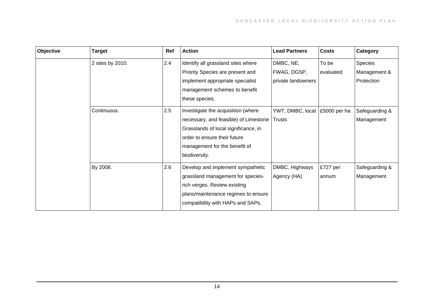| Objective | <b>Target</b>    | Ref | <b>Action</b>                                                                                                                                                                                         | <b>Lead Partners</b>                           | <b>Costs</b>       | Category                              |
|-----------|------------------|-----|-------------------------------------------------------------------------------------------------------------------------------------------------------------------------------------------------------|------------------------------------------------|--------------------|---------------------------------------|
|           | 2 sites by 2010. | 2.4 | Identify all grassland sites where<br>Priority Species are present and<br>implement appropriate specialist<br>management schemes to benefit<br>these species.                                         | DMBC, NE,<br>FWAG, DGSP,<br>private landowners | To be<br>evaluated | Species<br>Management &<br>Protection |
|           | Continuous.      | 2.5 | Investigate the acquisition (where<br>necessary, and feasible) of Limestone<br>Grasslands of local significance, in<br>order to ensure their future<br>management for the benefit of<br>biodiversity. | YWT, DMBC, local<br><b>Trusts</b>              | £5000 per ha       | Safeguarding &<br>Management          |
|           | By 2008.         | 2.6 | Develop and implement sympathetic<br>grassland management for species-<br>rich verges. Review existing<br>plans/maintenance regimes to ensure<br>compatibility with HAPs and SAPs.                    | DMBC, Highways<br>Agency (HA)                  | £727 per<br>annum  | Safeguarding &<br>Management          |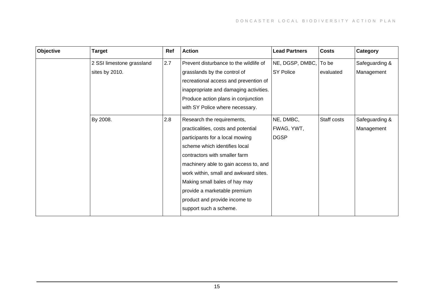| Objective | <b>Target</b>             | Ref | <b>Action</b>                          | <b>Lead Partners</b> | <b>Costs</b> | Category       |
|-----------|---------------------------|-----|----------------------------------------|----------------------|--------------|----------------|
|           | 2 SSI limestone grassland | 2.7 | Prevent disturbance to the wildlife of | NE, DGSP, DMBC,      | To be        | Safeguarding & |
|           | sites by 2010.            |     | grasslands by the control of           | <b>SY Police</b>     | evaluated    | Management     |
|           |                           |     | recreational access and prevention of  |                      |              |                |
|           |                           |     | inappropriate and damaging activities. |                      |              |                |
|           |                           |     | Produce action plans in conjunction    |                      |              |                |
|           |                           |     | with SY Police where necessary.        |                      |              |                |
|           | By 2008.                  | 2.8 | Research the requirements,             | NE, DMBC,            | Staff costs  | Safeguarding & |
|           |                           |     | practicalities, costs and potential    | FWAG, YWT,           |              | Management     |
|           |                           |     | participants for a local mowing        | <b>DGSP</b>          |              |                |
|           |                           |     | scheme which identifies local          |                      |              |                |
|           |                           |     | contractors with smaller farm          |                      |              |                |
|           |                           |     | machinery able to gain access to, and  |                      |              |                |
|           |                           |     | work within, small and awkward sites.  |                      |              |                |
|           |                           |     | Making small bales of hay may          |                      |              |                |
|           |                           |     | provide a marketable premium           |                      |              |                |
|           |                           |     | product and provide income to          |                      |              |                |
|           |                           |     | support such a scheme.                 |                      |              |                |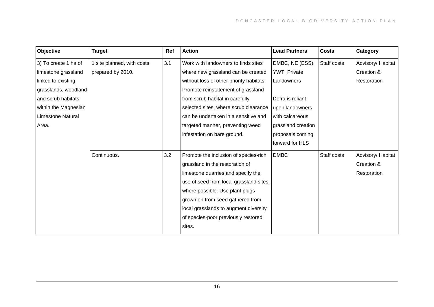| Objective                | <b>Target</b>              | Ref | <b>Action</b>                            | <b>Lead Partners</b> | <b>Costs</b> | Category          |
|--------------------------|----------------------------|-----|------------------------------------------|----------------------|--------------|-------------------|
| 3) To create 1 ha of     | 1 site planned, with costs | 3.1 | Work with landowners to finds sites      | DMBC, NE (ESS),      | Staff costs  | Advisory/ Habitat |
| limestone grassland      | prepared by 2010.          |     | where new grassland can be created       | YWT, Private         |              | Creation &        |
| linked to existing       |                            |     | without loss of other priority habitats. | Landowners           |              | Restoration       |
| grasslands, woodland     |                            |     | Promote reinstatement of grassland       |                      |              |                   |
| and scrub habitats       |                            |     | from scrub habitat in carefully          | Defra is reliant     |              |                   |
| within the Magnesian     |                            |     | selected sites, where scrub clearance    | upon landowners      |              |                   |
| <b>Limestone Natural</b> |                            |     | can be undertaken in a sensitive and     | with calcareous      |              |                   |
| Area.                    |                            |     | targeted manner, preventing weed         | grassland creation   |              |                   |
|                          |                            |     | infestation on bare ground.              | proposals coming     |              |                   |
|                          |                            |     |                                          | forward for HLS      |              |                   |
|                          | Continuous.                | 3.2 | Promote the inclusion of species-rich    | <b>DMBC</b>          | Staff costs  | Advisory/Habitat  |
|                          |                            |     | grassland in the restoration of          |                      |              | Creation &        |
|                          |                            |     | limestone quarries and specify the       |                      |              | Restoration       |
|                          |                            |     | use of seed from local grassland sites,  |                      |              |                   |
|                          |                            |     | where possible. Use plant plugs          |                      |              |                   |
|                          |                            |     | grown on from seed gathered from         |                      |              |                   |
|                          |                            |     | local grasslands to augment diversity    |                      |              |                   |
|                          |                            |     | of species-poor previously restored      |                      |              |                   |
|                          |                            |     | sites.                                   |                      |              |                   |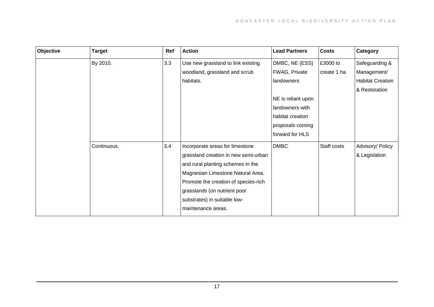| Objective | <b>Target</b> | Ref | <b>Action</b>                        | <b>Lead Partners</b> | <b>Costs</b> | Category                |
|-----------|---------------|-----|--------------------------------------|----------------------|--------------|-------------------------|
|           | By 2010.      | 3.3 | Use new grassland to link existing   | DMBC, NE (ESS)       | £3000 to     | Safeguarding &          |
|           |               |     | woodland, grassland and scrub        | FWAG, Private        | create 1 ha  | Management/             |
|           |               |     | habitats.                            | landowners           |              | <b>Habitat Creation</b> |
|           |               |     |                                      |                      |              | & Restoration           |
|           |               |     |                                      | NE is reliant upon   |              |                         |
|           |               |     |                                      | landowners with      |              |                         |
|           |               |     |                                      | habitat creation     |              |                         |
|           |               |     |                                      | proposals coming     |              |                         |
|           |               |     |                                      | forward for HLS      |              |                         |
|           | Continuous.   | 3.4 | Incorporate areas for limestone      | <b>DMBC</b>          | Staff costs  | Advisory/ Policy        |
|           |               |     | grassland creation in new semi-urban |                      |              | & Legislation           |
|           |               |     | and rural planting schemes in the    |                      |              |                         |
|           |               |     | Magnesian Limestone Natural Area.    |                      |              |                         |
|           |               |     | Promote the creation of species-rich |                      |              |                         |
|           |               |     | grasslands (on nutrient poor         |                      |              |                         |
|           |               |     | substrates) in suitable low-         |                      |              |                         |
|           |               |     | maintenance areas.                   |                      |              |                         |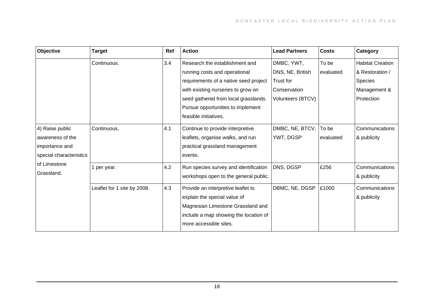| Objective               | <b>Target</b>               | Ref | <b>Action</b>                         | <b>Lead Partners</b> | <b>Costs</b> | Category                |
|-------------------------|-----------------------------|-----|---------------------------------------|----------------------|--------------|-------------------------|
|                         | Continuous.                 | 3.4 | Research the establishment and        | DMBC, YWT,           | To be        | <b>Habitat Creation</b> |
|                         |                             |     | running costs and operational         | DNS, NE, British     | evaluated    | & Restoration /         |
|                         |                             |     | requirements of a native seed project | Trust for            |              | Species                 |
|                         |                             |     | with existing nurseries to grow on    | Conservation         |              | Management &            |
|                         |                             |     | seed gathered from local grasslands.  | Volunteers (BTCV)    |              | Protection              |
|                         |                             |     | Pursue opportunities to implement     |                      |              |                         |
|                         |                             |     | feasible initiatives.                 |                      |              |                         |
| 4) Raise public         | Continuous.                 | 4.1 | Continue to provide interpretive      | DMBC, NE, BTCV,      | To be        | Communications          |
| awareness of the        |                             |     | leaflets, organise walks, and run     | YWT, DGSP            | evaluated    | & publicity             |
| importance and          |                             |     | practical grassland management        |                      |              |                         |
| special characteristics |                             |     | events.                               |                      |              |                         |
| of Limestone            | 1 per year.                 | 4.2 | Run species survey and identification | DNS, DGSP            | £256         | Communications          |
| Grassland.              |                             |     | workshops open to the general public. |                      |              | & publicity             |
|                         | Leaflet for 1 site by 2008. | 4.3 | Provide an interpretive leaflet to    | DBMC, NE, DGSP       | £1000        | Communications          |
|                         |                             |     | explain the special value of          |                      |              | & publicity             |
|                         |                             |     | Magnesian Limestone Grassland and     |                      |              |                         |
|                         |                             |     | include a map showing the location of |                      |              |                         |
|                         |                             |     | more accessible sites.                |                      |              |                         |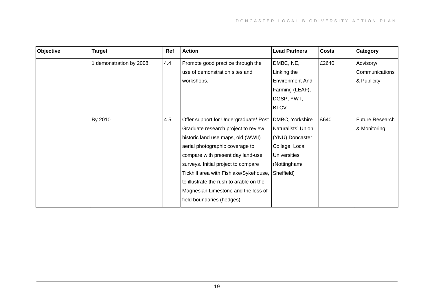| Objective | <b>Target</b>          | Ref | <b>Action</b>                           | <b>Lead Partners</b>   | <b>Costs</b> | Category               |
|-----------|------------------------|-----|-----------------------------------------|------------------------|--------------|------------------------|
|           | demonstration by 2008. | 4.4 | Promote good practice through the       | DMBC, NE,              | £2640        | Advisory/              |
|           |                        |     | use of demonstration sites and          | Linking the            |              | Communications         |
|           |                        |     | workshops.                              | <b>Environment And</b> |              | & Publicity            |
|           |                        |     |                                         | Farming (LEAF),        |              |                        |
|           |                        |     |                                         | DGSP, YWT,             |              |                        |
|           |                        |     |                                         | <b>BTCV</b>            |              |                        |
|           | By 2010.               | 4.5 | Offer support for Undergraduate/ Post   | DMBC, Yorkshire        | £640         | <b>Future Research</b> |
|           |                        |     | Graduate research project to review     | Naturalists' Union     |              | & Monitoring           |
|           |                        |     | historic land use maps, old (WWII)      | (YNU) Doncaster        |              |                        |
|           |                        |     | aerial photographic coverage to         | College, Local         |              |                        |
|           |                        |     | compare with present day land-use       | <b>Universities</b>    |              |                        |
|           |                        |     | surveys. Initial project to compare     | (Nottingham/           |              |                        |
|           |                        |     | Tickhill area with Fishlake/Sykehouse,  | Sheffield)             |              |                        |
|           |                        |     | to illustrate the rush to arable on the |                        |              |                        |
|           |                        |     | Magnesian Limestone and the loss of     |                        |              |                        |
|           |                        |     | field boundaries (hedges).              |                        |              |                        |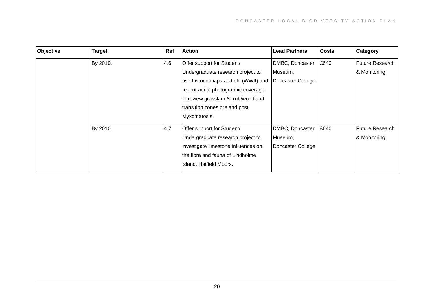| Objective | <b>Target</b> | Ref | <b>Action</b>                        | <b>Lead Partners</b> | <b>Costs</b> | Category               |
|-----------|---------------|-----|--------------------------------------|----------------------|--------------|------------------------|
|           | By 2010.      | 4.6 | Offer support for Student/           | DMBC, Doncaster      | £640         | <b>Future Research</b> |
|           |               |     | Undergraduate research project to    | Museum,              |              | & Monitoring           |
|           |               |     | use historic maps and old (WWII) and | Doncaster College    |              |                        |
|           |               |     | recent aerial photographic coverage  |                      |              |                        |
|           |               |     | to review grassland/scrub/woodland   |                      |              |                        |
|           |               |     | transition zones pre and post        |                      |              |                        |
|           |               |     | Myxomatosis.                         |                      |              |                        |
|           | By 2010.      | 4.7 | Offer support for Student/           | DMBC, Doncaster      | £640         | <b>Future Research</b> |
|           |               |     | Undergraduate research project to    | Museum,              |              | & Monitoring           |
|           |               |     | investigate limestone influences on  | Doncaster College    |              |                        |
|           |               |     | the flora and fauna of Lindholme     |                      |              |                        |
|           |               |     | island, Hatfield Moors.              |                      |              |                        |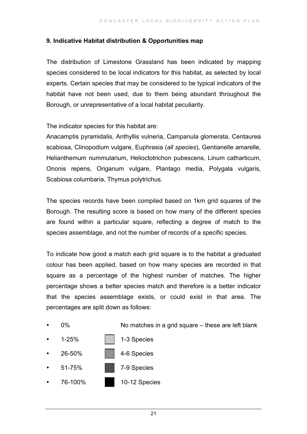#### **9. Indicative Habitat distribution & Opportunities map**

The distribution of Limestone Grassland has been indicated by mapping species considered to be local indicators for this habitat, as selected by local experts. Certain species that may be considered to be typical indicators of the habitat have not been used, due to them being abundant throughout the Borough, or unrepresentative of a local habitat peculiarity.

The indicator species for this habitat are:

Anacamptis pyramidalis, Anthyllis vulneria, Campanula glomerata, Centaurea scabiosa, Clinopodium vulgare, Euphrasia (*all species*), Gentianelle amarelle, Helianthemum nummularium, Helioctotrichon pubescens, Linum catharticum, Ononis repens, Origanum vulgare, Plantago media, Polygala vulgaris, Scabiosa columbaria, Thymus polytrichus.

The species records have been compiled based on 1km grid squares of the Borough. The resulting score is based on how many of the different species are found within a particular square, reflecting a degree of match to the species assemblage, and not the number of records of a specific species.

To indicate how good a match each grid square is to the habitat a graduated colour has been applied, based on how many species are recorded in that square as a percentage of the highest number of matches. The higher percentage shows a better species match and therefore is a better indicator that the species assemblage exists, or could exist in that area. The percentages are split down as follows:

0% No matches in a grid square – these are left blank

- 1-25% | 1-3 Species
- 26-50% 4-6 Species
- 51-75% 7-9 Species
- 76-100% 10-12 Species